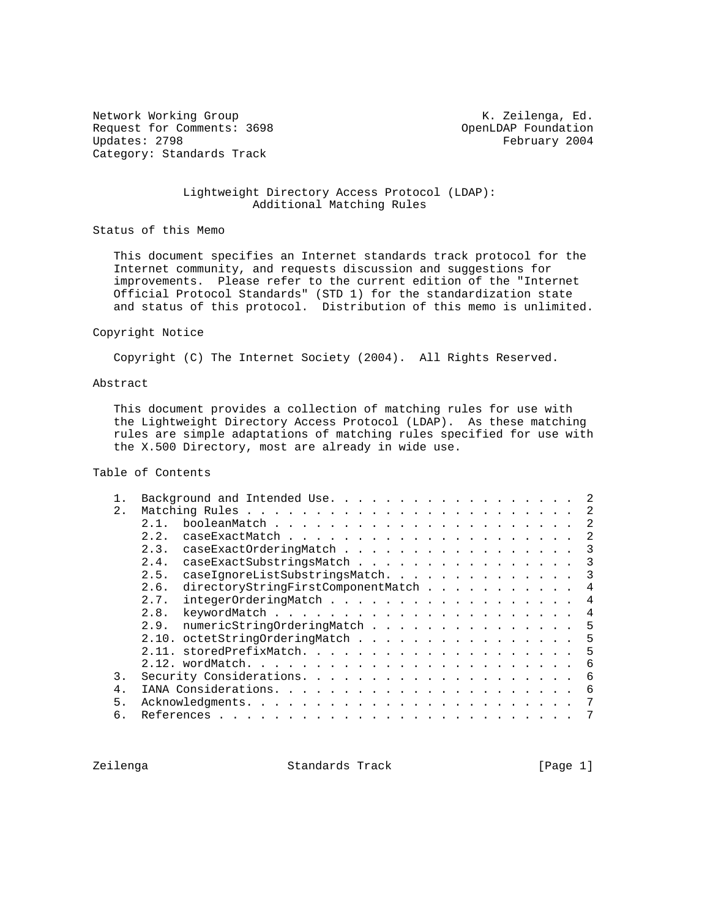Network Working Group Network Working Group Network K. Zeilenga, Ed. Request for Comments: 3698 OpenLDAP Foundation<br>Updates: 2798 February 2004 Category: Standards Track

February 2004

### Lightweight Directory Access Protocol (LDAP): Additional Matching Rules

Status of this Memo

 This document specifies an Internet standards track protocol for the Internet community, and requests discussion and suggestions for improvements. Please refer to the current edition of the "Internet Official Protocol Standards" (STD 1) for the standardization state and status of this protocol. Distribution of this memo is unlimited.

#### Copyright Notice

Copyright (C) The Internet Society (2004). All Rights Reserved.

#### Abstract

 This document provides a collection of matching rules for use with the Lightweight Directory Access Protocol (LDAP). As these matching rules are simple adaptations of matching rules specified for use with the X.500 Directory, most are already in wide use.

# Table of Contents

|        | Background and Intended Use.                    |
|--------|-------------------------------------------------|
| 2.     | -2                                              |
|        | 2<br>21                                         |
|        | 2<br>2.2.                                       |
|        | 2.3.<br>caseExactOrderingMatch<br>3             |
|        | caseExactSubstringsMatch<br>2.4.<br>3           |
|        | caseIqnoreListSubstringsMatch.<br>2.5.<br>3     |
|        | directoryStringFirstComponentMatch<br>2.6.<br>4 |
|        | integerOrderingMatch<br>2.7.<br>4               |
|        | 2.8.<br>4                                       |
|        | numericStringOrderingMatch<br>5<br>2.9.         |
|        | 2.10. octetStringOrderingMatch<br>5             |
|        | 5<br>2.11.                                      |
|        | 6                                               |
| 3.     | 6                                               |
| $4 \,$ | 6                                               |
| 5.     | 7                                               |
| б.     |                                                 |
|        |                                                 |

Zeilenga Standards Track [Page 1]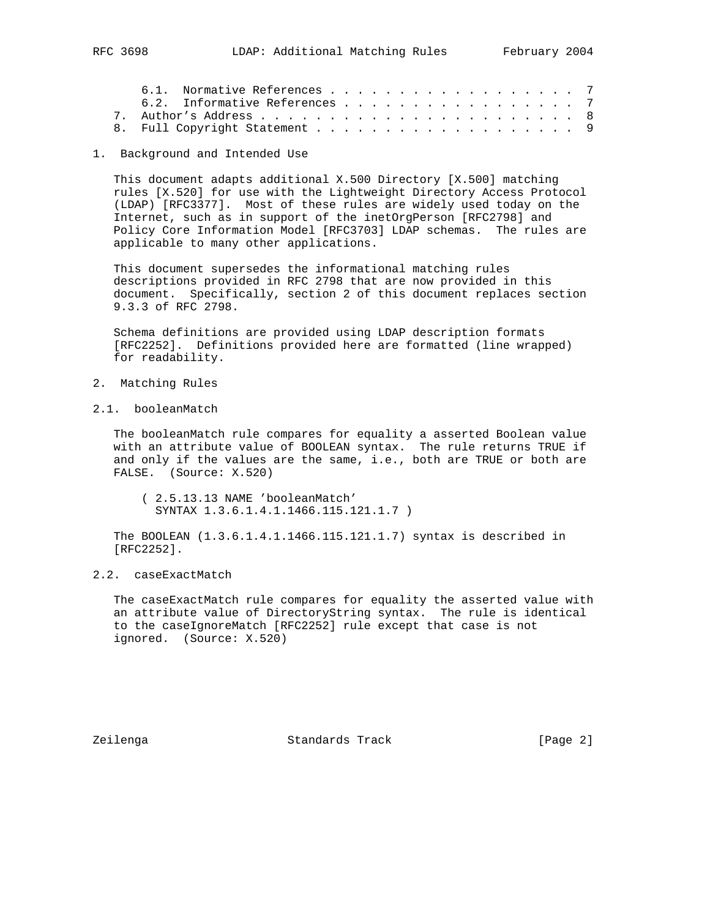|  | 6.1. Normative References 7   |  |  |  |  |  |  |  |  |  |
|--|-------------------------------|--|--|--|--|--|--|--|--|--|
|  | 6.2. Informative References 7 |  |  |  |  |  |  |  |  |  |
|  |                               |  |  |  |  |  |  |  |  |  |
|  |                               |  |  |  |  |  |  |  |  |  |

1. Background and Intended Use

 This document adapts additional X.500 Directory [X.500] matching rules [X.520] for use with the Lightweight Directory Access Protocol (LDAP) [RFC3377]. Most of these rules are widely used today on the Internet, such as in support of the inetOrgPerson [RFC2798] and Policy Core Information Model [RFC3703] LDAP schemas. The rules are applicable to many other applications.

 This document supersedes the informational matching rules descriptions provided in RFC 2798 that are now provided in this document. Specifically, section 2 of this document replaces section 9.3.3 of RFC 2798.

 Schema definitions are provided using LDAP description formats [RFC2252]. Definitions provided here are formatted (line wrapped) for readability.

- 2. Matching Rules
- 2.1. booleanMatch

 The booleanMatch rule compares for equality a asserted Boolean value with an attribute value of BOOLEAN syntax. The rule returns TRUE if and only if the values are the same, i.e., both are TRUE or both are FALSE. (Source: X.520)

 ( 2.5.13.13 NAME 'booleanMatch' SYNTAX 1.3.6.1.4.1.1466.115.121.1.7 )

 The BOOLEAN (1.3.6.1.4.1.1466.115.121.1.7) syntax is described in [RFC2252].

# 2.2. caseExactMatch

 The caseExactMatch rule compares for equality the asserted value with an attribute value of DirectoryString syntax. The rule is identical to the caseIgnoreMatch [RFC2252] rule except that case is not ignored. (Source: X.520)

Zeilenga Standards Track [Page 2]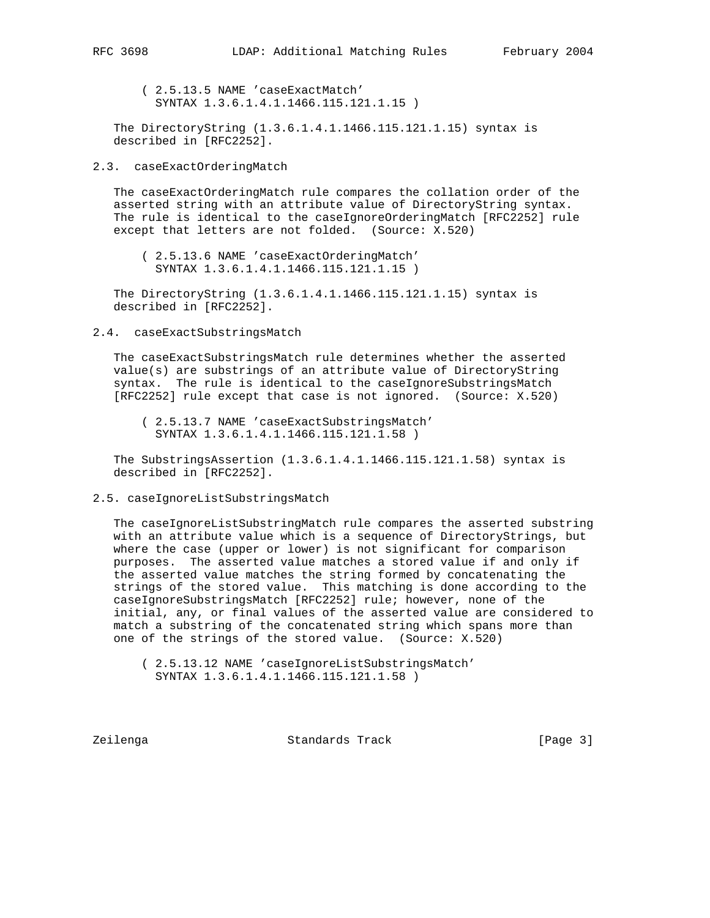( 2.5.13.5 NAME 'caseExactMatch' SYNTAX 1.3.6.1.4.1.1466.115.121.1.15 )

 The DirectoryString (1.3.6.1.4.1.1466.115.121.1.15) syntax is described in [RFC2252].

2.3. caseExactOrderingMatch

 The caseExactOrderingMatch rule compares the collation order of the asserted string with an attribute value of DirectoryString syntax. The rule is identical to the caseIgnoreOrderingMatch [RFC2252] rule except that letters are not folded. (Source: X.520)

 ( 2.5.13.6 NAME 'caseExactOrderingMatch' SYNTAX 1.3.6.1.4.1.1466.115.121.1.15 )

 The DirectoryString (1.3.6.1.4.1.1466.115.121.1.15) syntax is described in [RFC2252].

2.4. caseExactSubstringsMatch

 The caseExactSubstringsMatch rule determines whether the asserted value(s) are substrings of an attribute value of DirectoryString syntax. The rule is identical to the caseIgnoreSubstringsMatch [RFC2252] rule except that case is not ignored. (Source: X.520)

 ( 2.5.13.7 NAME 'caseExactSubstringsMatch' SYNTAX 1.3.6.1.4.1.1466.115.121.1.58 )

 The SubstringsAssertion (1.3.6.1.4.1.1466.115.121.1.58) syntax is described in [RFC2252].

2.5. caseIgnoreListSubstringsMatch

 The caseIgnoreListSubstringMatch rule compares the asserted substring with an attribute value which is a sequence of DirectoryStrings, but where the case (upper or lower) is not significant for comparison purposes. The asserted value matches a stored value if and only if the asserted value matches the string formed by concatenating the strings of the stored value. This matching is done according to the caseIgnoreSubstringsMatch [RFC2252] rule; however, none of the initial, any, or final values of the asserted value are considered to match a substring of the concatenated string which spans more than one of the strings of the stored value. (Source: X.520)

Zeilenga Standards Track [Page 3]

 <sup>( 2.5.13.12</sup> NAME 'caseIgnoreListSubstringsMatch' SYNTAX 1.3.6.1.4.1.1466.115.121.1.58 )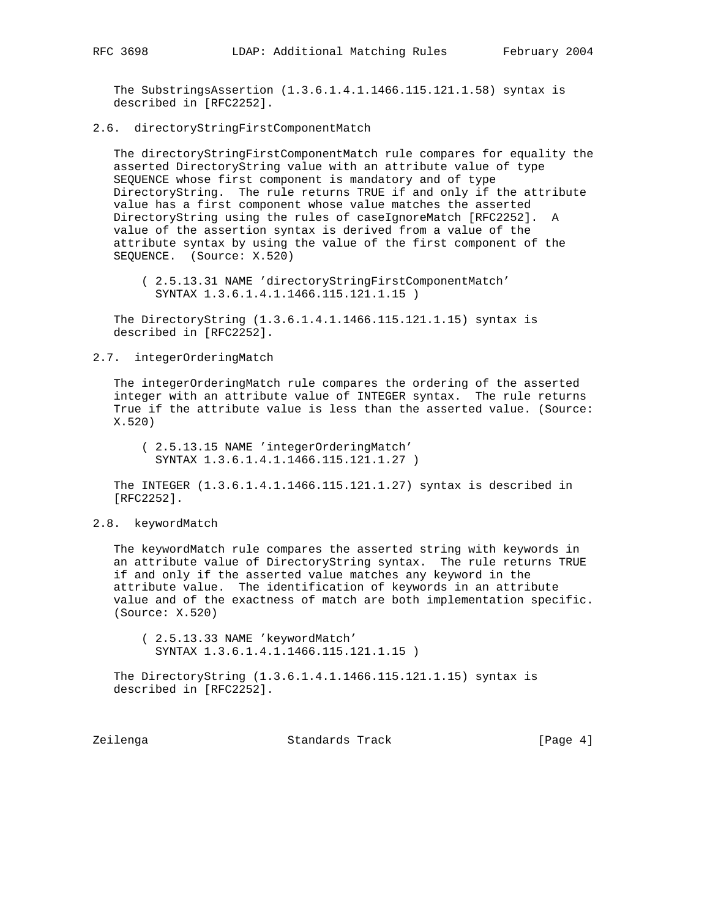The SubstringsAssertion (1.3.6.1.4.1.1466.115.121.1.58) syntax is described in [RFC2252].

#### 2.6. directoryStringFirstComponentMatch

 The directoryStringFirstComponentMatch rule compares for equality the asserted DirectoryString value with an attribute value of type SEQUENCE whose first component is mandatory and of type DirectoryString. The rule returns TRUE if and only if the attribute value has a first component whose value matches the asserted DirectoryString using the rules of caseIgnoreMatch [RFC2252]. A value of the assertion syntax is derived from a value of the attribute syntax by using the value of the first component of the SEQUENCE. (Source: X.520)

 ( 2.5.13.31 NAME 'directoryStringFirstComponentMatch' SYNTAX 1.3.6.1.4.1.1466.115.121.1.15 )

 The DirectoryString (1.3.6.1.4.1.1466.115.121.1.15) syntax is described in [RFC2252].

#### 2.7. integerOrderingMatch

 The integerOrderingMatch rule compares the ordering of the asserted integer with an attribute value of INTEGER syntax. The rule returns True if the attribute value is less than the asserted value. (Source: X.520)

 ( 2.5.13.15 NAME 'integerOrderingMatch' SYNTAX 1.3.6.1.4.1.1466.115.121.1.27 )

 The INTEGER (1.3.6.1.4.1.1466.115.121.1.27) syntax is described in [RFC2252].

### 2.8. keywordMatch

 The keywordMatch rule compares the asserted string with keywords in an attribute value of DirectoryString syntax. The rule returns TRUE if and only if the asserted value matches any keyword in the attribute value. The identification of keywords in an attribute value and of the exactness of match are both implementation specific. (Source: X.520)

 ( 2.5.13.33 NAME 'keywordMatch' SYNTAX 1.3.6.1.4.1.1466.115.121.1.15 )

 The DirectoryString (1.3.6.1.4.1.1466.115.121.1.15) syntax is described in [RFC2252].

Zeilenga Standards Track [Page 4]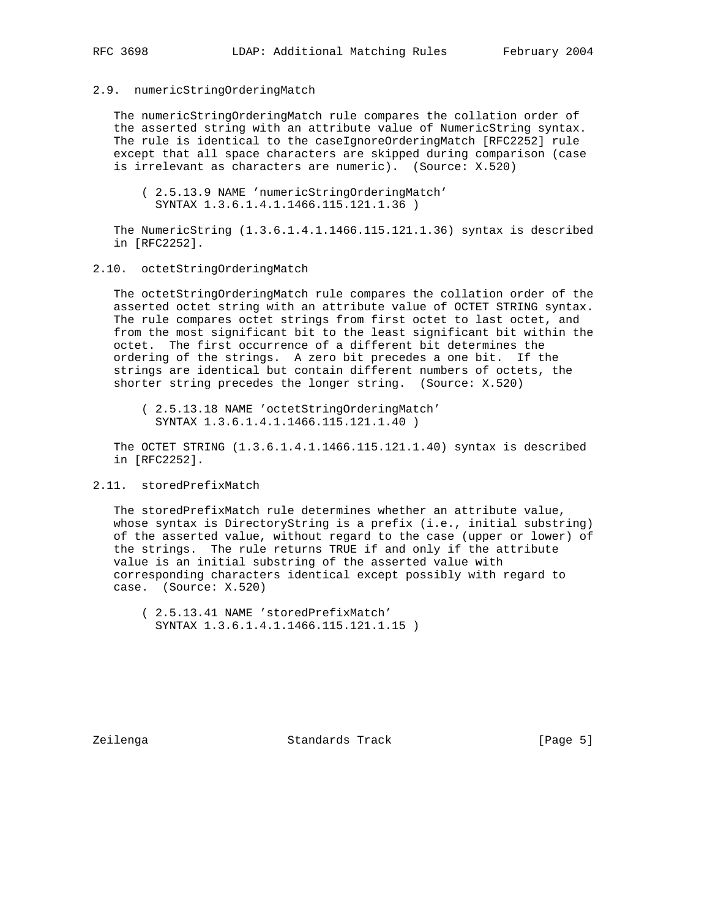#### 2.9. numericStringOrderingMatch

 The numericStringOrderingMatch rule compares the collation order of the asserted string with an attribute value of NumericString syntax. The rule is identical to the caseIgnoreOrderingMatch [RFC2252] rule except that all space characters are skipped during comparison (case is irrelevant as characters are numeric). (Source: X.520)

 ( 2.5.13.9 NAME 'numericStringOrderingMatch' SYNTAX 1.3.6.1.4.1.1466.115.121.1.36 )

 The NumericString (1.3.6.1.4.1.1466.115.121.1.36) syntax is described in [RFC2252].

2.10. octetStringOrderingMatch

 The octetStringOrderingMatch rule compares the collation order of the asserted octet string with an attribute value of OCTET STRING syntax. The rule compares octet strings from first octet to last octet, and from the most significant bit to the least significant bit within the octet. The first occurrence of a different bit determines the ordering of the strings. A zero bit precedes a one bit. If the strings are identical but contain different numbers of octets, the shorter string precedes the longer string. (Source: X.520)

 ( 2.5.13.18 NAME 'octetStringOrderingMatch' SYNTAX 1.3.6.1.4.1.1466.115.121.1.40 )

 The OCTET STRING (1.3.6.1.4.1.1466.115.121.1.40) syntax is described in [RFC2252].

### 2.11. storedPrefixMatch

 The storedPrefixMatch rule determines whether an attribute value, whose syntax is DirectoryString is a prefix (i.e., initial substring) of the asserted value, without regard to the case (upper or lower) of the strings. The rule returns TRUE if and only if the attribute value is an initial substring of the asserted value with corresponding characters identical except possibly with regard to case. (Source: X.520)

 ( 2.5.13.41 NAME 'storedPrefixMatch' SYNTAX 1.3.6.1.4.1.1466.115.121.1.15 )

Zeilenga Standards Track [Page 5]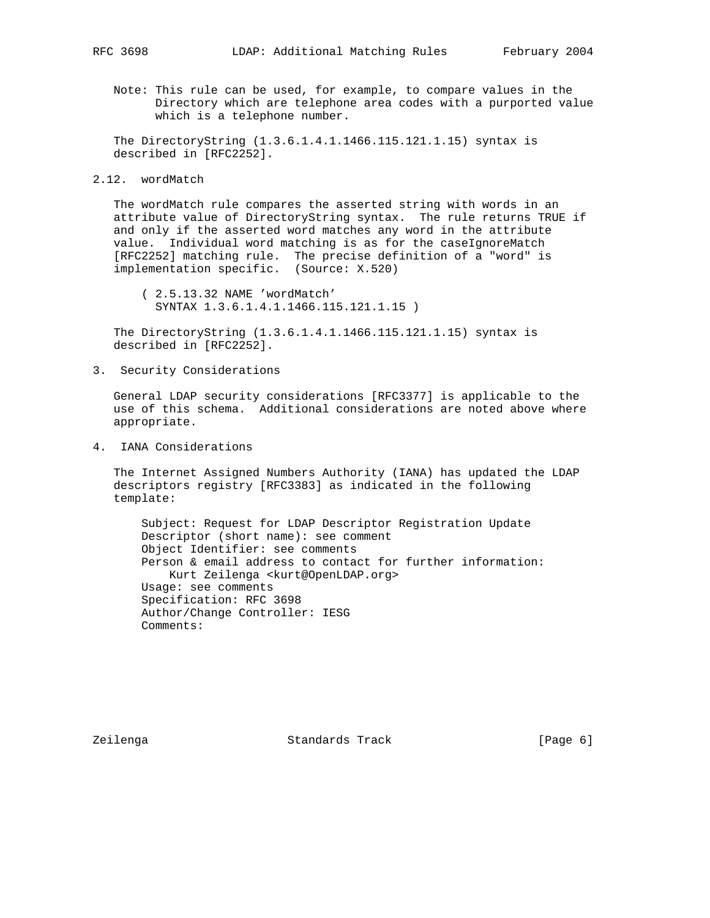Note: This rule can be used, for example, to compare values in the Directory which are telephone area codes with a purported value which is a telephone number.

 The DirectoryString (1.3.6.1.4.1.1466.115.121.1.15) syntax is described in [RFC2252].

2.12. wordMatch

 The wordMatch rule compares the asserted string with words in an attribute value of DirectoryString syntax. The rule returns TRUE if and only if the asserted word matches any word in the attribute value. Individual word matching is as for the caseIgnoreMatch [RFC2252] matching rule. The precise definition of a "word" is implementation specific. (Source: X.520)

 ( 2.5.13.32 NAME 'wordMatch' SYNTAX 1.3.6.1.4.1.1466.115.121.1.15 )

 The DirectoryString (1.3.6.1.4.1.1466.115.121.1.15) syntax is described in [RFC2252].

3. Security Considerations

 General LDAP security considerations [RFC3377] is applicable to the use of this schema. Additional considerations are noted above where appropriate.

4. IANA Considerations

 The Internet Assigned Numbers Authority (IANA) has updated the LDAP descriptors registry [RFC3383] as indicated in the following template:

 Subject: Request for LDAP Descriptor Registration Update Descriptor (short name): see comment Object Identifier: see comments Person & email address to contact for further information: Kurt Zeilenga <kurt@OpenLDAP.org> Usage: see comments Specification: RFC 3698 Author/Change Controller: IESG Comments:

Zeilenga Standards Track [Page 6]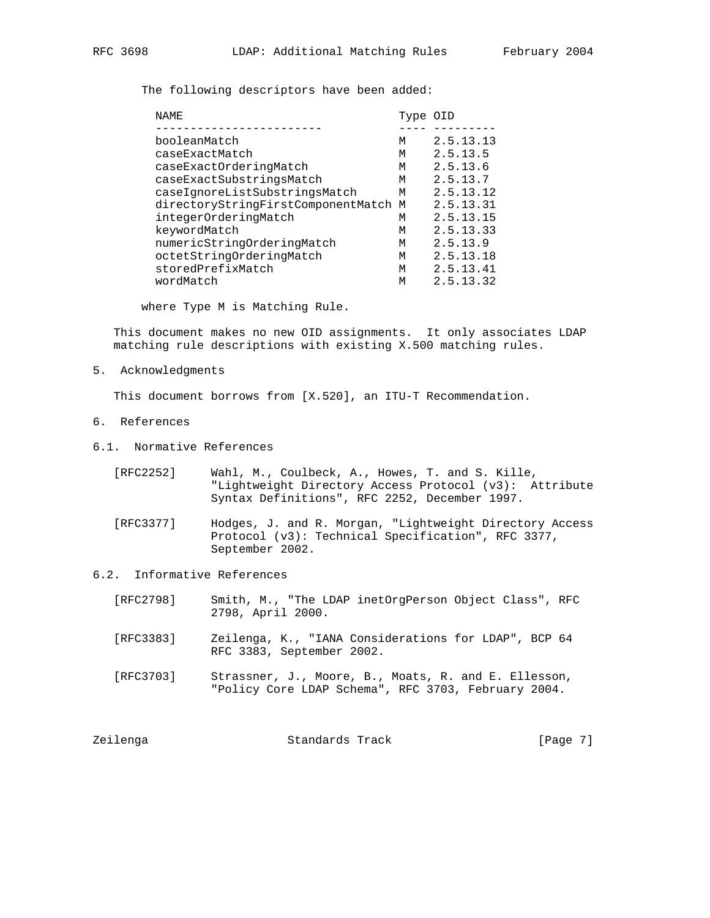The following descriptors have been added:

| NAME                                 | Type OID |           |
|--------------------------------------|----------|-----------|
|                                      |          |           |
| booleanMatch                         | M        | 2.5.13.13 |
| caseExactMatch                       | м        | 2.5.13.5  |
| caseExactOrderinqMatch               | М        | 2.5.13.6  |
| caseExactSubstringsMatch             | м        | 2.5.13.7  |
| caseIqnoreListSubstringsMatch        | м        | 2.5.13.12 |
| directoryStringFirstComponentMatch M |          | 2.5.13.31 |
| integerOrderingMatch                 | м        | 2.5.13.15 |
| keywordMatch                         | M        | 2.5.13.33 |
| numericStringOrderingMatch           | м        | 2.5.13.9  |
| octetStringOrderingMatch             | м        | 2.5.13.18 |
| storedPrefixMatch                    | M        | 2.5.13.41 |
| wordMatch                            | M        | 2.5.13.32 |

where Type M is Matching Rule.

 This document makes no new OID assignments. It only associates LDAP matching rule descriptions with existing X.500 matching rules.

5. Acknowledgments

This document borrows from [X.520], an ITU-T Recommendation.

- 6. References
- 6.1. Normative References
	- [RFC2252] Wahl, M., Coulbeck, A., Howes, T. and S. Kille, "Lightweight Directory Access Protocol (v3): Attribute Syntax Definitions", RFC 2252, December 1997.
	- [RFC3377] Hodges, J. and R. Morgan, "Lightweight Directory Access Protocol (v3): Technical Specification", RFC 3377, September 2002.
- 6.2. Informative References
	- [RFC2798] Smith, M., "The LDAP inetOrgPerson Object Class", RFC 2798, April 2000.
	- [RFC3383] Zeilenga, K., "IANA Considerations for LDAP", BCP 64 RFC 3383, September 2002.
	- [RFC3703] Strassner, J., Moore, B., Moats, R. and E. Ellesson, "Policy Core LDAP Schema", RFC 3703, February 2004.

| Zeilenga | Standards Track | [Page 7] |
|----------|-----------------|----------|
|----------|-----------------|----------|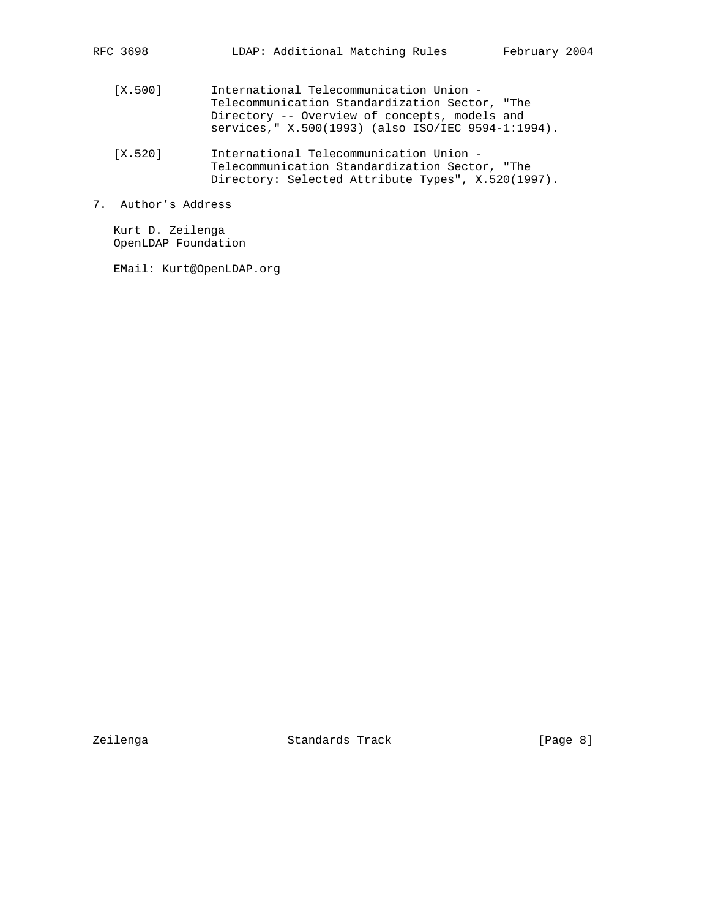- [X.500] International Telecommunication Union Telecommunication Standardization Sector, "The Directory -- Overview of concepts, models and services," X.500(1993) (also ISO/IEC 9594-1:1994).
- [X.520] International Telecommunication Union Telecommunication Standardization Sector, "The Directory: Selected Attribute Types", X.520(1997).
- 7. Author's Address

 Kurt D. Zeilenga OpenLDAP Foundation

EMail: Kurt@OpenLDAP.org

Zeilenga Standards Track [Page 8]